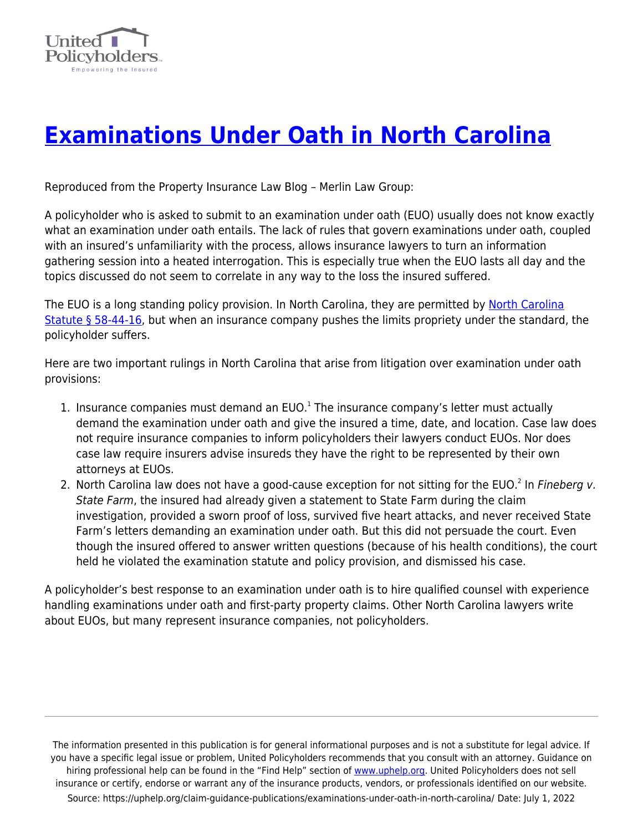

## **[Examinations Under Oath in North Carolina](https://uphelp.org/claim-guidance-publications/examinations-under-oath-in-north-carolina/)**

Reproduced from the Property Insurance Law Blog – Merlin Law Group:

A policyholder who is asked to submit to an examination under oath (EUO) usually does not know exactly what an examination under oath entails. The lack of rules that govern examinations under oath, coupled with an insured's unfamiliarity with the process, allows insurance lawyers to turn an information gathering session into a heated interrogation. This is especially true when the EUO lasts all day and the topics discussed do not seem to correlate in any way to the loss the insured suffered.

The EUO is a long standing policy provision. In [North Carolina](http://www.ncga.state.nc.us/EnactedLegislation/Statutes/HTML/BySection/Chapter_58/GS_58-44-16.html), they are permitted by North Carolina [Statute § 58-44-16](http://www.ncga.state.nc.us/EnactedLegislation/Statutes/HTML/BySection/Chapter_58/GS_58-44-16.html), but when an insurance company pushes the limits propriety under the standard, the policyholder suffers.

Here are two important rulings in North Carolina that arise from litigation over examination under oath provisions:

- 1. Insurance companies must demand an EUO. $<sup>1</sup>$  The insurance company's letter must actually</sup> demand the examination under oath and give the insured a time, date, and location. Case law does not require insurance companies to inform policyholders their lawyers conduct EUOs. Nor does case law require insurers advise insureds they have the right to be represented by their own attorneys at EUOs.
- 2. North Carolina law does not have a good-cause exception for not sitting for the EUO.<sup>2</sup> In Fineberg v. State Farm, the insured had already given a statement to State Farm during the claim investigation, provided a sworn proof of loss, survived five heart attacks, and never received State Farm's letters demanding an examination under oath. But this did not persuade the court. Even though the insured offered to answer written questions (because of his health conditions), the court held he violated the examination statute and policy provision, and dismissed his case.

A policyholder's best response to an examination under oath is to hire qualified counsel with experience handling examinations under oath and first-party property claims. Other North Carolina lawyers write about EUOs, but many represent insurance companies, not policyholders.

The information presented in this publication is for general informational purposes and is not a substitute for legal advice. If you have a specific legal issue or problem, United Policyholders recommends that you consult with an attorney. Guidance on hiring professional help can be found in the "Find Help" section of [www.uphelp.org.](http://www.uphelp.org/) United Policyholders does not sell insurance or certify, endorse or warrant any of the insurance products, vendors, or professionals identified on our website. Source: https://uphelp.org/claim-guidance-publications/examinations-under-oath-in-north-carolina/ Date: July 1, 2022